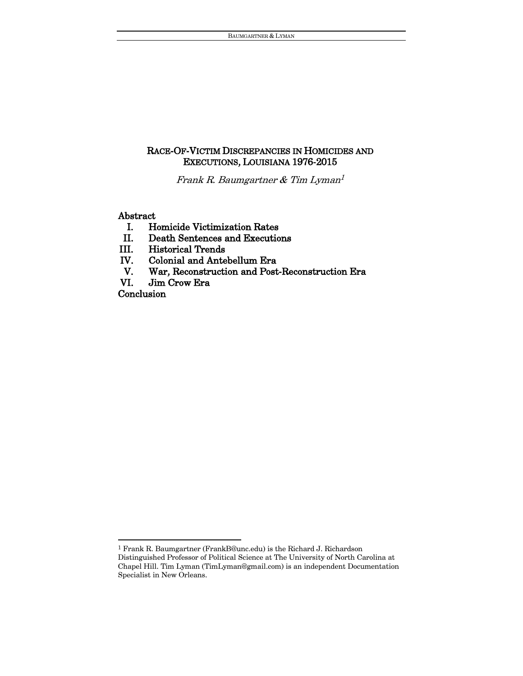# RACE-OF-VICTIM DISCREPANCIES IN HOMICIDES AND EXECUTIONS, LOUISIANA 1976-2015

Frank R. Baumgartner & Tim Lyman 1

### Abstract

- I. Homicide Victimization Rates
- II. Death Sentences and Executions
- III. Historical Trends
- IV. Colonial and Antebellum Era
- V. War, Reconstruction and Post-Reconstruction Era
- VI. Jim Crow Era

**Conclusion** 

 $\overline{a}$ 

 $^1$  Frank R. Baumgartner (FrankB@unc.edu) is the Richard J. Richardson

Distinguished Professor of Political Science at The University of North Carolina at Chapel Hill. Tim Lyman (TimLyman@gmail.com) is an independent Documentation Specialist in New Orleans.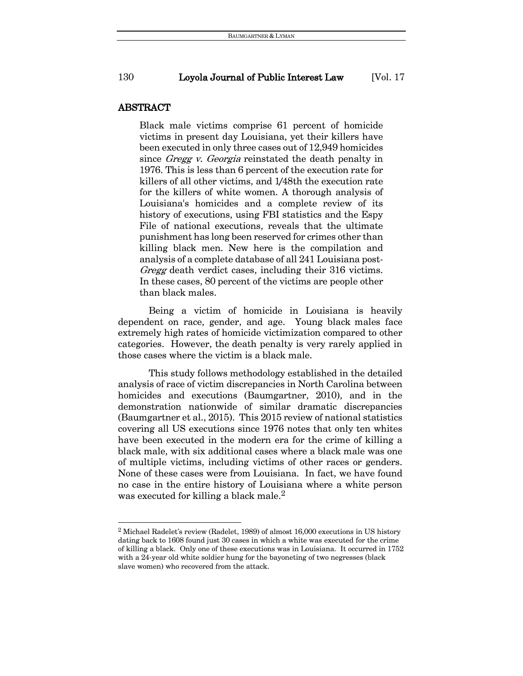#### ABSTRACT

 $\overline{a}$ 

Black male victims comprise 61 percent of homicide victims in present day Louisiana, yet their killers have been executed in only three cases out of 12,949 homicides since Gregg v. Georgia reinstated the death penalty in 1976. This is less than 6 percent of the execution rate for killers of all other victims, and 1/48th the execution rate for the killers of white women. A thorough analysis of Louisiana's homicides and a complete review of its history of executions, using FBI statistics and the Espy File of national executions, reveals that the ultimate punishment has long been reserved for crimes other than killing black men. New here is the compilation and analysis of a complete database of all 241 Louisiana post-Gregg death verdict cases, including their 316 victims. In these cases, 80 percent of the victims are people other than black males.

Being a victim of homicide in Louisiana is heavily dependent on race, gender, and age. Young black males face extremely high rates of homicide victimization compared to other categories. However, the death penalty is very rarely applied in those cases where the victim is a black male.

This study follows methodology established in the detailed analysis of race of victim discrepancies in North Carolina between homicides and executions (Baumgartner, 2010), and in the demonstration nationwide of similar dramatic discrepancies (Baumgartner et al., 2015). This 2015 review of national statistics covering all US executions since 1976 notes that only ten whites have been executed in the modern era for the crime of killing a black male, with six additional cases where a black male was one of multiple victims, including victims of other races or genders. None of these cases were from Louisiana. In fact, we have found no case in the entire history of Louisiana where a white person was executed for killing a black male.<sup>2</sup>

<sup>2</sup> Michael Radelet's review (Radelet, 1989) of almost 16,000 executions in US history dating back to 1608 found just 30 cases in which a white was executed for the crime of killing a black. Only one of these executions was in Louisiana. It occurred in 1752 with a 24-year old white soldier hung for the bayoneting of two negresses (black slave women) who recovered from the attack.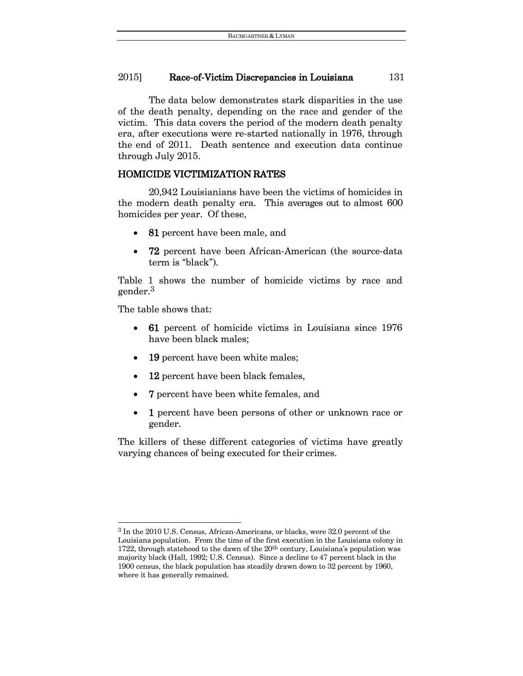The data below demonstrates stark disparities in the use of the death penalty, depending on the race and gender of the victim. This data covers the period of the modern death penalty era, after executions were re-started nationally in 1976, through the end of 2011. Death sentence and execution data continue through July 2015.

### HOMICIDE VICTIMIZATION RATES

20,942 Louisianians have been the victims of homicides in the modern death penalty era. This averages out to almost 600 homicides per year. Of these,

- 81 percent have been male, and
- 72 percent have been African-American (the source-data term is "black").

Table 1 shows the number of homicide victims by race and gender.<sup>3</sup>

The table shows that:

 $\overline{a}$ 

- 61 percent of homicide victims in Louisiana since 1976 have been black males;
- 19 percent have been white males;
- 12 percent have been black females,
- 7 percent have been white females, and
- 1 percent have been persons of other or unknown race or gender.

The killers of these different categories of victims have greatly varying chances of being executed for their crimes.

<sup>3</sup> In the 2010 U.S. Census, African-Americans, or blacks, were 32.0 percent of the Louisiana population. From the time of the first execution in the Louisiana colony in 1722, through statehood to the dawn of the 20<sup>th</sup> century, Louisiana's population was majority black (Hall, 1992; U.S. Census). Since a decline to 47 percent black in the 1900 census, the black population has steadily drawn down to 32 percent by 1960, where it has generally remained.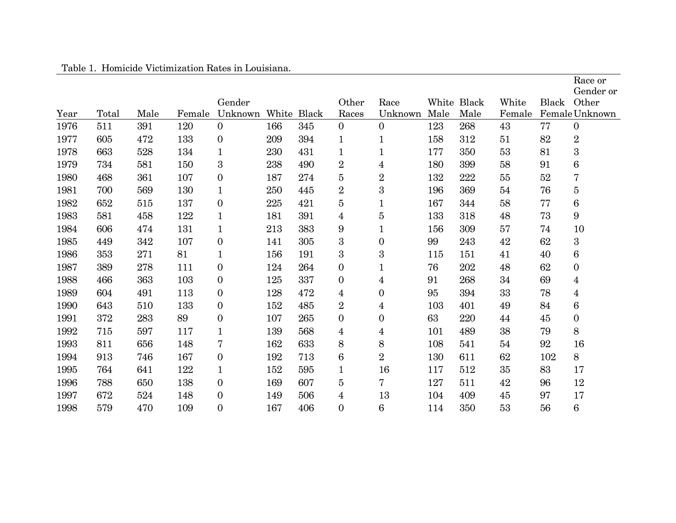| Year | Total | Male | Female | Gender<br>Unknown |     | White Black | Other<br>Races | Race<br>Unknown  | Male | White Black<br>Male | White<br>Female | Black | Race or<br>Gender or<br>Other<br>Female Unknown |
|------|-------|------|--------|-------------------|-----|-------------|----------------|------------------|------|---------------------|-----------------|-------|-------------------------------------------------|
| 1976 | 511   | 391  | 120    | $\mathbf{0}$      | 166 | 345         | $\overline{0}$ | $\mathbf{0}$     | 123  | 268                 | 43              | 77    | $\boldsymbol{0}$                                |
| 1977 | 605   | 472  | 133    | $\boldsymbol{0}$  | 209 | 394         | $\mathbf 1$    |                  | 158  | 312                 | 51              | 82    | $\overline{2}$                                  |
| 1978 | 663   | 528  | 134    | $\mathbf{1}$      | 230 | 431         | $\mathbf{1}$   | $\mathbf{1}$     | 177  | 350                 | 53              | 81    | 3                                               |
| 1979 | 734   | 581  | 150    | 3                 | 238 | 490         | $\overline{2}$ | 4                | 180  | 399                 | 58              | 91    | $\,6$                                           |
| 1980 | 468   | 361  | 107    | 0                 | 187 | 274         | 5              | $\overline{2}$   | 132  | 222                 | 55              | 52    | 7                                               |
| 1981 | 700   | 569  | 130    | $\mathbf 1$       | 250 | 445         | $\overline{2}$ | 3                | 196  | 369                 | 54              | 76    | 5                                               |
| 1982 | 652   | 515  | 137    | $\boldsymbol{0}$  | 225 | 421         | $\overline{5}$ | 1                | 167  | 344                 | 58              | 77    | $\,6$                                           |
| 1983 | 581   | 458  | 122    | $\mathbf 1$       | 181 | 391         | 4              | 5                | 133  | 318                 | 48              | 73    | 9                                               |
| 1984 | 606   | 474  | 131    | $\mathbf 1$       | 213 | 383         | 9              | 1                | 156  | 309                 | 57              | 74    | 10                                              |
| 1985 | 449   | 342  | 107    | $\overline{0}$    | 141 | 305         | 3              | $\boldsymbol{0}$ | 99   | 243                 | 42              | 62    | 3                                               |
| 1986 | 353   | 271  | 81     | $\mathbf 1$       | 156 | 191         | 3              | 3                | 115  | 151                 | 41              | 40    | 6                                               |
| 1987 | 389   | 278  | 111    | 0                 | 124 | 264         | $\overline{0}$ |                  | 76   | 202                 | 48              | 62    | $\boldsymbol{0}$                                |
| 1988 | 466   | 363  | 103    | 0                 | 125 | 337         | $\overline{0}$ | 4                | 91   | 268                 | 34              | 69    | 4                                               |
| 1989 | 604   | 491  | 113    | $\overline{0}$    | 128 | 472         | 4              | $\boldsymbol{0}$ | 95   | 394                 | 33              | 78    | 4                                               |
| 1990 | 643   | 510  | 133    | $\overline{0}$    | 152 | 485         | $\overline{2}$ | 4                | 103  | 401                 | 49              | 84    | $\,6$                                           |
| 1991 | 372   | 283  | 89     | 0                 | 107 | 265         | $\mathbf{0}$   | 0                | 63   | 220                 | 44              | 45    | $\boldsymbol{0}$                                |
| 1992 | 715   | 597  | 117    | $\mathbf{1}$      | 139 | 568         | $\overline{4}$ | 4                | 101  | 489                 | 38              | 79    | 8                                               |
| 1993 | 811   | 656  | 148    | 7                 | 162 | 633         | 8              | 8                | 108  | 541                 | 54              | 92    | 16                                              |
| 1994 | 913   | 746  | 167    | $\overline{0}$    | 192 | 713         | 6              | $\overline{2}$   | 130  | 611                 | 62              | 102   | 8                                               |
| 1995 | 764   | 641  | 122    | $\mathbf 1$       | 152 | 595         | $\mathbf{1}$   | 16               | 117  | 512                 | 35              | 83    | 17                                              |
| 1996 | 788   | 650  | 138    | $\boldsymbol{0}$  | 169 | 607         | $\overline{5}$ | 7                | 127  | 511                 | 42              | 96    | 12                                              |
| 1997 | 672   | 524  | 148    | $\boldsymbol{0}$  | 149 | 506         | 4              | 13               | 104  | 409                 | 45              | 97    | 17                                              |
| 1998 | 579   | 470  | 109    | 0                 | 167 | 406         | $\mathbf{0}$   | 6                | 114  | 350                 | 53              | 56    | 6                                               |

Table 1. Homicide Victimization Rates in Louisiana.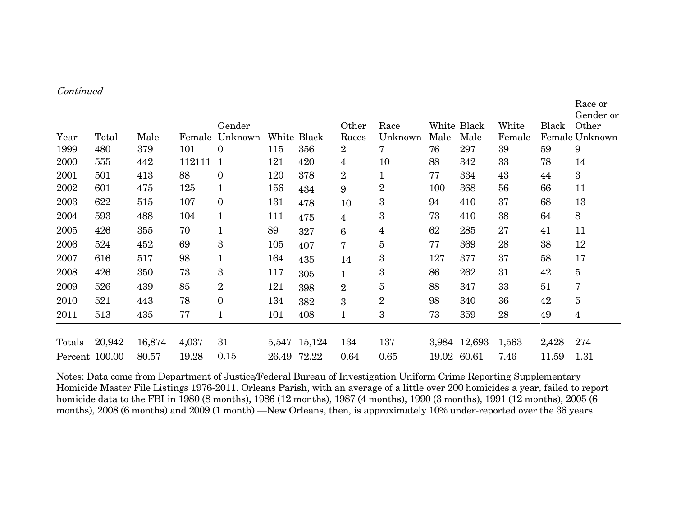| Continued      |        |        |        |                   |       |             |                |                 |       |                     |                 |       |                                                 |
|----------------|--------|--------|--------|-------------------|-------|-------------|----------------|-----------------|-------|---------------------|-----------------|-------|-------------------------------------------------|
| Year           | Total  | Male   | Female | Gender<br>Unknown |       | White Black | Other<br>Races | Race<br>Unknown | Male  | White Black<br>Male | White<br>Female | Black | Race or<br>Gender or<br>Other<br>Female Unknown |
| 1999           | 480    | 379    | 101    | 0                 | 115   | 356         | $\overline{2}$ | $\mathbf 7$     | 76    | 297                 | 39              | 59    | 9                                               |
| 2000           | 555    | 442    | 112111 |                   | 121   | 420         | 4              | 10              | 88    | 342                 | 33              | 78    | 14                                              |
| 2001           | 501    | 413    | 88     | $\boldsymbol{0}$  | 120   | 378         | $\overline{2}$ |                 | 77    | 334                 | 43              | 44    | 3                                               |
| 2002           | 601    | 475    | 125    | 1                 | 156   | 434         | 9              | $\overline{2}$  | 100   | 368                 | 56              | 66    | 11                                              |
| 2003           | 622    | 515    | 107    | $\boldsymbol{0}$  | 131   | 478         | 10             | 3               | 94    | 410                 | 37              | 68    | 13                                              |
| 2004           | 593    | 488    | 104    | $\mathbf{1}$      | 111   | 475         | 4              | 3               | 73    | 410                 | 38              | 64    | 8                                               |
| 2005           | 426    | 355    | 70     |                   | 89    | 327         | 6              | 4               | 62    | 285                 | 27              | 41    | 11                                              |
| 2006           | 524    | 452    | 69     | 3                 | 105   | 407         | 7              | $\overline{5}$  | 77    | 369                 | 28              | 38    | 12                                              |
| 2007           | 616    | 517    | 98     | $\mathbf 1$       | 164   | 435         | 14             | 3               | 127   | 377                 | 37              | 58    | 17                                              |
| 2008           | 426    | 350    | 73     | 3                 | 117   | 305         | $\mathbf{1}$   | 3               | 86    | 262                 | 31              | 42    | 5                                               |
| 2009           | 526    | 439    | 85     | $\overline{2}$    | 121   | 398         | $\overline{2}$ | 5               | 88    | 347                 | 33              | 51    | 7                                               |
| 2010           | 521    | 443    | 78     | $\mathbf{0}$      | 134   | 382         | 3              | $\overline{2}$  | 98    | 340                 | 36              | 42    | 5                                               |
| 2011           | 513    | 435    | 77     | $\mathbf 1$       | 101   | 408         | $\mathbf{1}$   | 3               | 73    | 359                 | 28              | 49    | 4                                               |
| Totals         | 20,942 | 16,874 | 4,037  | 31                | 5,547 | 15,124      | 134            | 137             |       | 3,984 12,693        | 1,563           | 2,428 | 274                                             |
| Percent 100.00 |        | 80.57  | 19.28  | 0.15              |       | 26.49 72.22 | 0.64           | 0.65            | 19.02 | 60.61               | 7.46            | 11.59 | 1.31                                            |

Notes: Data come from Department of Justice/Federal Bureau of Investigation Uniform Crime Reporting Supplementary Homicide Master File Listings 1976-2011. Orleans Parish, with an average of a little over 200 homicides a year, failed to report homicide data to the FBI in 1980 (8 months), 1986 (12 months), 1987 (4 months), 1990 (3 months), 1991 (12 months), 2005 (6 months), 2008 (6 months) and 2009 (1 month) —New Orleans, then, is approximately 10% under-reported over the 36 years.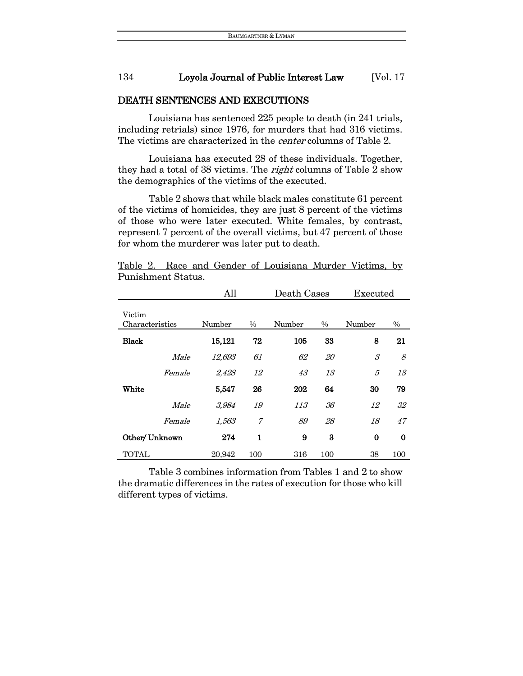#### DEATH SENTENCES AND EXECUTIONS

Louisiana has sentenced 225 people to death (in 241 trials, including retrials) since 1976, for murders that had 316 victims. The victims are characterized in the *center* columns of Table 2.

Louisiana has executed 28 of these individuals. Together, they had a total of 38 victims. The *right* columns of Table 2 show the demographics of the victims of the executed.

Table 2 shows that while black males constitute 61 percent of the victims of homicides, they are just 8 percent of the victims of those who were later executed. White females, by contrast, represent 7 percent of the overall victims, but 47 percent of those for whom the murderer was later put to death.

|                           | All    |              | Death Cases |           | Executed |      |
|---------------------------|--------|--------------|-------------|-----------|----------|------|
| Victim<br>Characteristics | Number | $\%$         | Number      | $\%$      | Number   | $\%$ |
| <b>Black</b>              | 15,121 | 72           | 105         | 33        | 8        | 21   |
| Male                      | 12,693 | 61           | 62          | <i>20</i> | 3        | 8    |
| Female                    | 2,428  | 12           | 43          | 13        | 5        | 13   |
| White                     | 5,547  | 26           | 202         | 64        | 30       | 79   |
| Male                      | 3,984  | 19           | 113         | 36        | 12       | 32   |
| Female                    | 1,563  | 7            | 89          | 28        | 18       | 47   |
| Other/ Unknown            | 274    | $\mathbf{1}$ | 9           | 3         | $\bf{0}$ | 0    |
| <b>TOTAL</b>              | 20.942 | 100          | 316         | 100       | 38       | 100  |

Table 2. Race and Gender of Louisiana Murder Victims, by Punishment Status.

Table 3 combines information from Tables 1 and 2 to show the dramatic differences in the rates of execution for those who kill different types of victims.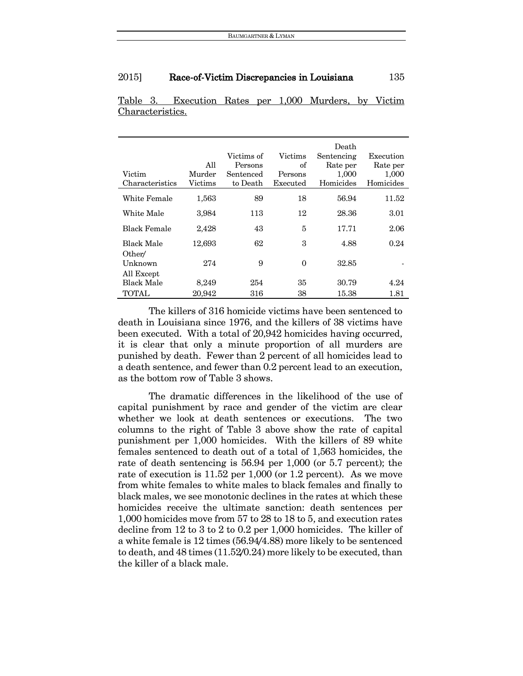| Victim<br>Characteristics       | All<br>Murder<br>Victims | Victims of<br>Persons<br>Sentenced<br>to Death | Victims<br>of<br>Persons<br>Executed | Death<br>Sentencing<br>Rate per<br>1,000<br>Homicides | Execution<br>Rate per<br>1,000<br>Homicides |
|---------------------------------|--------------------------|------------------------------------------------|--------------------------------------|-------------------------------------------------------|---------------------------------------------|
| White Female                    | 1,563                    | 89                                             | 18                                   | 56.94                                                 | 11.52                                       |
| White Male                      | 3,984                    | 113                                            | 12                                   | 28.36                                                 | 3.01                                        |
| <b>Black Female</b>             | 2,428                    | 43                                             | 5                                    | 17.71                                                 | 2.06                                        |
| <b>Black Male</b>               | 12,693                   | 62                                             | 3                                    | 4.88                                                  | 0.24                                        |
| Other/<br>Unknown<br>All Except | 274                      | 9                                              | $\Omega$                             | 32.85                                                 |                                             |
| Black Male                      | 8,249                    | 254                                            | 35                                   | 30.79                                                 | 4.24                                        |
| <b>TOTAL</b>                    | 20.942                   | 316                                            | 38                                   | 15.38                                                 | 1.81                                        |

Table 3. Execution Rates per 1,000 Murders, by Victim Characteristics.

The killers of 316 homicide victims have been sentenced to death in Louisiana since 1976, and the killers of 38 victims have been executed. With a total of 20,942 homicides having occurred, it is clear that only a minute proportion of all murders are punished by death. Fewer than 2 percent of all homicides lead to a death sentence, and fewer than 0.2 percent lead to an execution, as the bottom row of Table 3 shows.

The dramatic differences in the likelihood of the use of capital punishment by race and gender of the victim are clear whether we look at death sentences or executions. The two columns to the right of Table 3 above show the rate of capital punishment per 1,000 homicides. With the killers of 89 white females sentenced to death out of a total of 1,563 homicides, the rate of death sentencing is 56.94 per 1,000 (or 5.7 percent); the rate of execution is 11.52 per 1,000 (or 1.2 percent). As we move from white females to white males to black females and finally to black males, we see monotonic declines in the rates at which these homicides receive the ultimate sanction: death sentences per 1,000 homicides move from 57 to 28 to 18 to 5, and execution rates decline from 12 to 3 to 2 to 0.2 per 1,000 homicides. The killer of a white female is 12 times (56.94/4.88) more likely to be sentenced to death, and 48 times (11.52/0.24) more likely to be executed, than the killer of a black male.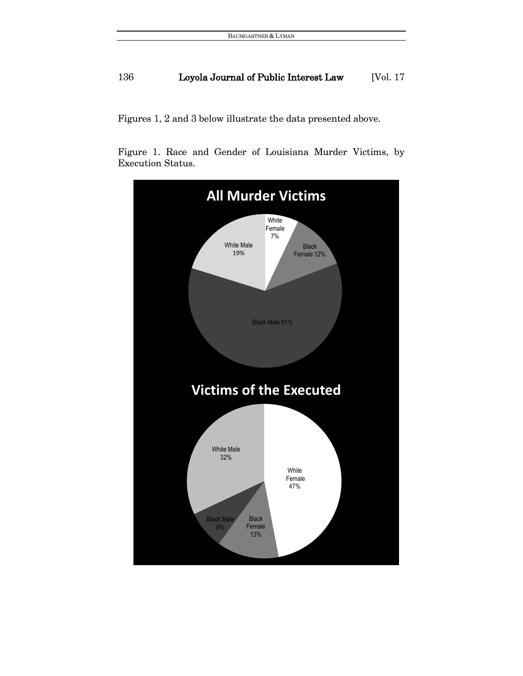Figures 1, 2 and 3 below illustrate the data presented above.

Figure 1. Race and Gender of Louisiana Murder Victims, by Execution Status.

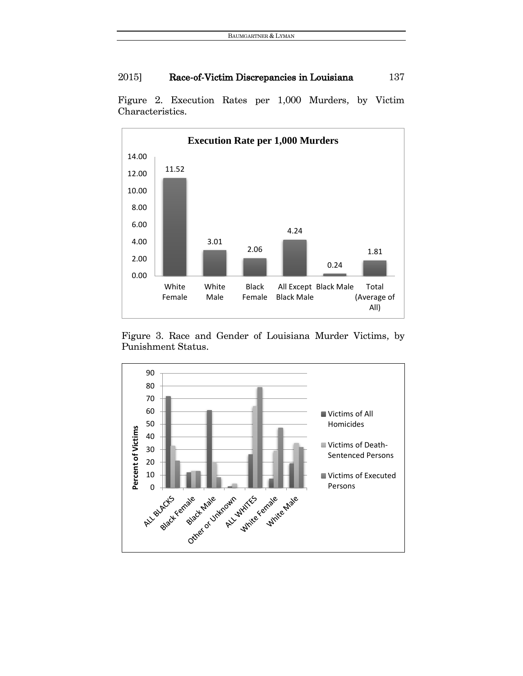

Figure 2. Execution Rates per 1,000 Murders, by Victim Characteristics.

Figure 3. Race and Gender of Louisiana Murder Victims, by Punishment Status.

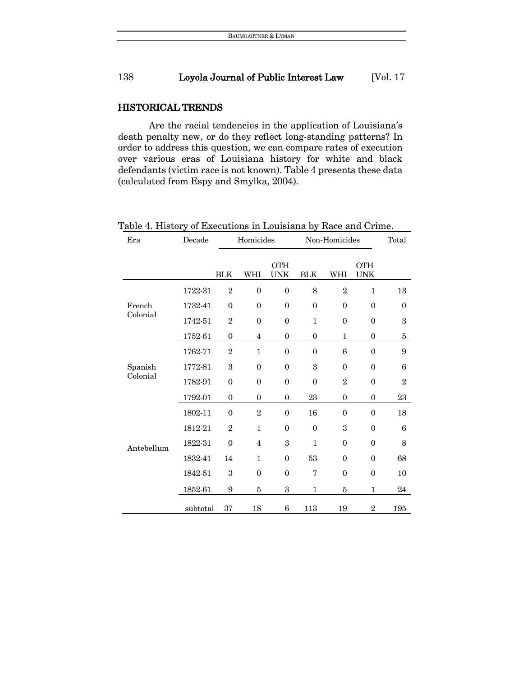### HISTORICAL TRENDS

Are the racial tendencies in the application of Louisiana's death penalty new, or do they reflect long-standing patterns? In order to address this question, we can compare rates of execution over various eras of Louisiana history for white and black defendants (victim race is not known). Table 4 presents these data (calculated from Espy and Smylka, 2004).

| Era        | Decade   |                | Homicides      |                          |                | Non-Homicides  |                          |                |  |
|------------|----------|----------------|----------------|--------------------------|----------------|----------------|--------------------------|----------------|--|
|            |          | <b>BLK</b>     | WHI            | <b>OTH</b><br><b>UNK</b> | <b>BLK</b>     | WHI            | <b>OTH</b><br><b>UNK</b> |                |  |
|            | 1722-31  | $\overline{2}$ | $\theta$       | $\theta$                 | 8              | $\overline{2}$ | $\mathbf{1}$             | 13             |  |
| French     | 1732-41  | $\overline{0}$ | $\theta$       | $\theta$                 | $\theta$       | $\theta$       | $\theta$                 | $\mathbf{0}$   |  |
| Colonial   | 1742-51  | $\overline{2}$ | $\Omega$       | $\mathbf{0}$             | $\mathbf{1}$   | $\overline{0}$ | $\theta$                 | 3              |  |
|            | 1752-61  | $\overline{0}$ | $\overline{4}$ | $\overline{0}$           | $\overline{0}$ | $\mathbf{1}$   | $\overline{0}$           | 5              |  |
|            | 1762-71  | $\overline{2}$ | $\mathbf{1}$   | $\mathbf{0}$             | $\overline{0}$ | 6              | $\mathbf{0}$             | 9              |  |
| Spanish    | 1772-81  | 3              | $\mathbf{0}$   | $\mathbf{0}$             | 3              | $\overline{0}$ | $\theta$                 | 6              |  |
| Colonial   | 1782-91  | $\overline{0}$ | $\Omega$       | $\mathbf{0}$             | $\overline{0}$ | $\overline{2}$ | $\theta$                 | $\overline{2}$ |  |
|            | 1792-01  | $\overline{0}$ | $\overline{0}$ | $\overline{0}$           | 23             | $\overline{0}$ | $\overline{0}$           | 23             |  |
|            | 1802-11  | $\mathbf{0}$   | $\overline{2}$ | $\mathbf{0}$             | 16             | $\overline{0}$ | $\theta$                 | 18             |  |
|            | 1812-21  | $\overline{2}$ | $\mathbf{1}$   | $\overline{0}$           | $\mathbf{0}$   | 3              | $\theta$                 | 6              |  |
| Antebellum | 1822-31  | $\overline{0}$ | $\overline{4}$ | 3                        | $\mathbf{1}$   | $\overline{0}$ | $\theta$                 | 8              |  |
|            | 1832-41  | 14             | $\mathbf{1}$   | $\mathbf{0}$             | 53             | $\overline{0}$ | $\theta$                 | 68             |  |
|            | 1842-51  | 3              | $\Omega$       | $\mathbf{0}$             | 7              | $\overline{0}$ | $\theta$                 | 10             |  |
|            | 1852-61  | 9              | 5              | 3                        | 1              | 5              | $\mathbf{1}$             | 24             |  |
|            | subtotal | 37             | 18             | 6                        | 113            | 19             | $\overline{2}$           | 195            |  |

Table 4. History of Executions in Louisiana by Race and Crime.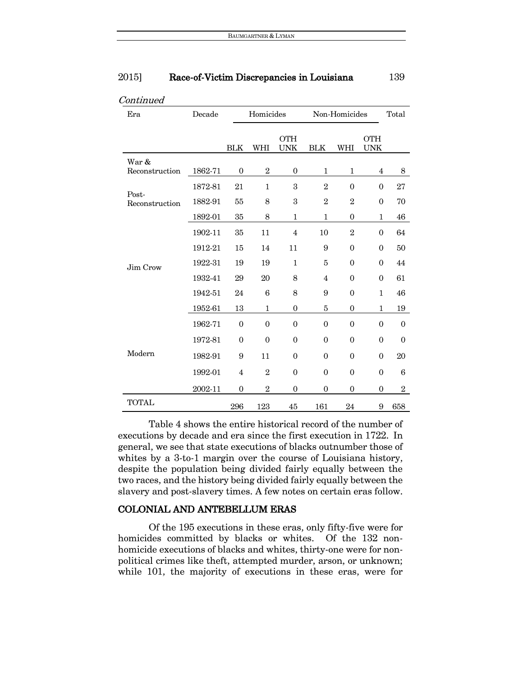| 2015] | Race-of-Victim Discrepancies in Louisiana | 139 |
|-------|-------------------------------------------|-----|
|       |                                           |     |

| Era                     | Decade  |                  | Non-Homicides<br>Homicides |                          |                |                |                          | Total          |
|-------------------------|---------|------------------|----------------------------|--------------------------|----------------|----------------|--------------------------|----------------|
|                         |         | <b>BLK</b>       | WHI                        | <b>OTH</b><br><b>UNK</b> | <b>BLK</b>     | WHI            | <b>OTH</b><br><b>UNK</b> |                |
| War &<br>Reconstruction | 1862-71 | $\theta$         | $\boldsymbol{2}$           | $\mathbf{0}$             | 1              | 1              | 4                        | 8              |
|                         | 1872-81 | 21               | $\mathbf{1}$               | 3                        | $\mathbf{2}$   | $\theta$       | $\theta$                 | 27             |
| Post-<br>Reconstruction | 1882-91 | 55               | 8                          | 3                        | $\overline{2}$ | $\overline{2}$ | $\theta$                 | 70             |
|                         | 1892-01 | 35               | 8                          | $\mathbf{1}$             | $\mathbf{1}$   | $\mathbf{0}$   | 1                        | 46             |
|                         | 1902-11 | 35               | 11                         | $\overline{4}$           | 10             | $\sqrt{2}$     | $\Omega$                 | 64             |
|                         | 1912-21 | 15               | 14                         | 11                       | 9              | $\theta$       | $\theta$                 | 50             |
| Jim Crow                | 1922-31 | 19               | 19                         | $\mathbf{1}$             | 5              | $\theta$       | $\theta$                 | 44             |
|                         | 1932-41 | 29               | 20                         | 8                        | $\overline{4}$ | $\theta$       | $\theta$                 | 61             |
|                         | 1942-51 | 24               | 6                          | 8                        | 9              | $\theta$       | $\mathbf{1}$             | 46             |
|                         | 1952-61 | 13               | $\mathbf{1}$               | $\mathbf{0}$             | 5              | $\mathbf{0}$   | 1                        | 19             |
|                         | 1962-71 | $\mathbf{0}$     | $\mathbf{0}$               | $\mathbf{0}$             | $\mathbf{0}$   | $\mathbf{0}$   | $\mathbf{0}$             | $\mathbf{0}$   |
|                         | 1972-81 | $\mathbf{0}$     | $\mathbf{0}$               | $\mathbf{0}$             | $\Omega$       | $\theta$       | $\overline{0}$           | $\Omega$       |
| Modern                  | 1982-91 | 9                | 11                         | $\boldsymbol{0}$         | $\Omega$       | $\theta$       | $\theta$                 | 20             |
|                         | 1992-01 | 4                | $\overline{2}$             | $\theta$                 | $\theta$       | $\theta$       | $\theta$                 | 6              |
|                         | 2002-11 | $\boldsymbol{0}$ | $\overline{2}$             | $\boldsymbol{0}$         | $\mathbf{0}$   | $\mathbf{0}$   | $\boldsymbol{0}$         | $\overline{2}$ |
| <b>TOTAL</b>            |         | 296              | 123                        | 45                       | 161            | $24\,$         | 9                        | 658            |

#### Continued

Table 4 shows the entire historical record of the number of executions by decade and era since the first execution in 1722. In general, we see that state executions of blacks outnumber those of whites by a 3-to-1 margin over the course of Louisiana history, despite the population being divided fairly equally between the two races, and the history being divided fairly equally between the slavery and post-slavery times. A few notes on certain eras follow.

### COLONIAL AND ANTEBELLUM ERAS

Of the 195 executions in these eras, only fifty-five were for homicides committed by blacks or whites. Of the 132 nonhomicide executions of blacks and whites, thirty-one were for nonpolitical crimes like theft, attempted murder, arson, or unknown; while 101, the majority of executions in these eras, were for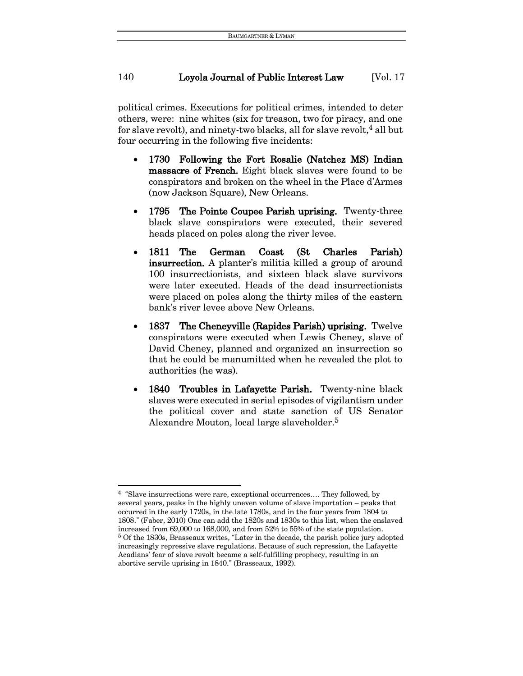political crimes. Executions for political crimes, intended to deter others, were: nine whites (six for treason, two for piracy, and one for slave revolt), and ninety-two blacks, all for slave revolt,  $4$  all but four occurring in the following five incidents:

- 1730 Following the Fort Rosalie (Natchez MS) Indian massacre of French. Eight black slaves were found to be conspirators and broken on the wheel in the Place d'Armes (now Jackson Square), New Orleans.
- 1795 The Pointe Coupee Parish uprising. Twenty-three black slave conspirators were executed, their severed heads placed on poles along the river levee.
- 1811 The German Coast (St Charles Parish) insurrection. A planter's militia killed a group of around 100 insurrectionists, and sixteen black slave survivors were later executed. Heads of the dead insurrectionists were placed on poles along the thirty miles of the eastern bank's river levee above New Orleans.
- 1837 The Cheneyville (Rapides Parish) uprising. Twelve conspirators were executed when Lewis Cheney, slave of David Cheney, planned and organized an insurrection so that he could be manumitted when he revealed the plot to authorities (he was).
- 1840 Troubles in Lafayette Parish. Twenty-nine black slaves were executed in serial episodes of vigilantism under the political cover and state sanction of US Senator Alexandre Mouton, local large slaveholder.<sup>5</sup>

 $\overline{a}$ <sup>4</sup> "Slave insurrections were rare, exceptional occurrences…. They followed, by several years, peaks in the highly uneven volume of slave importation – peaks that occurred in the early 1720s, in the late 1780s, and in the four years from 1804 to 1808." (Faber, 2010) One can add the 1820s and 1830s to this list, when the enslaved increased from 69,000 to 168,000, and from 52% to 55% of the state population. <sup>5</sup> Of the 1830s, Brasseaux writes, "Later in the decade, the parish police jury adopted increasingly repressive slave regulations. Because of such repression, the Lafayette Acadians' fear of slave revolt became a self-fulfilling prophecy, resulting in an abortive servile uprising in 1840." (Brasseaux, 1992).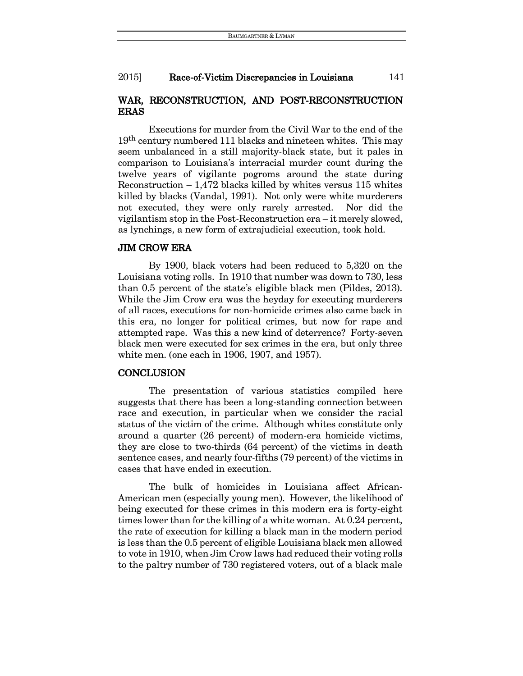# WAR, RECONSTRUCTION, AND POST-RECONSTRUCTION ERAS

Executions for murder from the Civil War to the end of the 19<sup>th</sup> century numbered 111 blacks and nineteen whites. This may seem unbalanced in a still majority-black state, but it pales in comparison to Louisiana's interracial murder count during the twelve years of vigilante pogroms around the state during Reconstruction – 1,472 blacks killed by whites versus 115 whites killed by blacks (Vandal, 1991). Not only were white murderers not executed, they were only rarely arrested. Nor did the vigilantism stop in the Post-Reconstruction era – it merely slowed, as lynchings, a new form of extrajudicial execution, took hold.

#### JIM CROW ERA

By 1900, black voters had been reduced to 5,320 on the Louisiana voting rolls. In 1910 that number was down to 730, less than 0.5 percent of the state's eligible black men (Pildes, 2013). While the Jim Crow era was the heyday for executing murderers of all races, executions for non-homicide crimes also came back in this era, no longer for political crimes, but now for rape and attempted rape. Was this a new kind of deterrence? Forty-seven black men were executed for sex crimes in the era, but only three white men. (one each in 1906, 1907, and 1957).

#### **CONCLUSION**

The presentation of various statistics compiled here suggests that there has been a long-standing connection between race and execution, in particular when we consider the racial status of the victim of the crime. Although whites constitute only around a quarter (26 percent) of modern-era homicide victims, they are close to two-thirds (64 percent) of the victims in death sentence cases, and nearly four-fifths (79 percent) of the victims in cases that have ended in execution.

The bulk of homicides in Louisiana affect African-American men (especially young men). However, the likelihood of being executed for these crimes in this modern era is forty-eight times lower than for the killing of a white woman. At 0.24 percent, the rate of execution for killing a black man in the modern period is less than the 0.5 percent of eligible Louisiana black men allowed to vote in 1910, when Jim Crow laws had reduced their voting rolls to the paltry number of 730 registered voters, out of a black male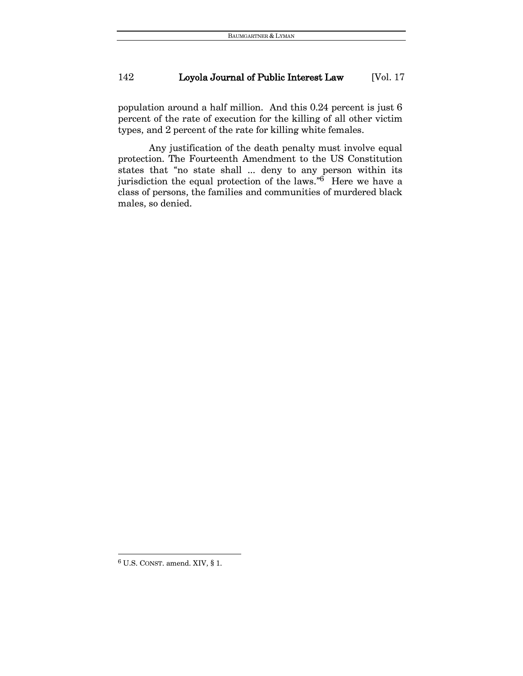population around a half million. And this 0.24 percent is just 6 percent of the rate of execution for the killing of all other victim types, and 2 percent of the rate for killing white females.

Any justification of the death penalty must involve equal protection. The Fourteenth Amendment to the US Constitution states that "no state shall ... deny to any person within its jurisdiction the equal protection of the laws." <sup>6</sup> Here we have a class of persons, the families and communities of murdered black males, so denied.

 $\overline{a}$ 

<sup>6</sup> U.S. CONST. amend. XIV, § 1.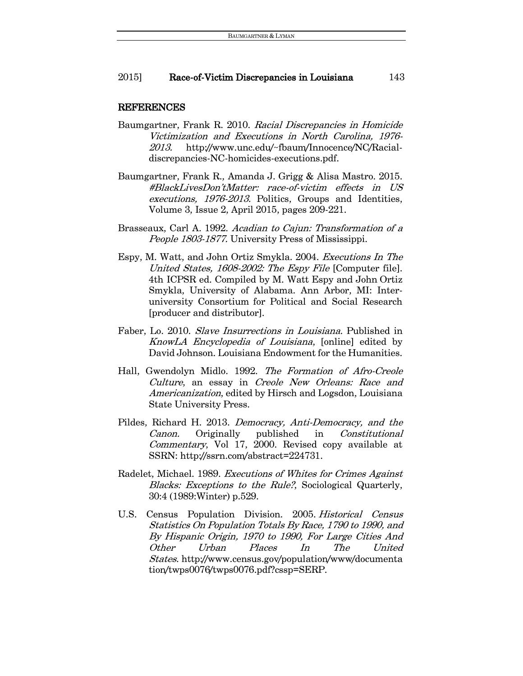#### REFERENCES

- Baumgartner, Frank R. 2010. Racial Discrepancies in Homicide Victimization and Executions in North Carolina, 1976- 2013. http://www.unc.edu/~fbaum/Innocence/NC/Racialdiscrepancies-NC-homicides-executions.pdf.
- Baumgartner, Frank R., Amanda J. Grigg & Alisa Mastro. 2015. #BlackLivesDon'tMatter: race-of-victim effects in US executions, 1976-2013. Politics, Groups and Identities, Volume 3, Issue 2, April 2015, pages 209-221.
- Brasseaux, Carl A. 1992. Acadian to Cajun: Transformation of a People 1803-1877. University Press of Mississippi.
- Espy, M. Watt, and John Ortiz Smykla. 2004. Executions In The United States, 1608-2002: The Espy File [Computer file]. 4th ICPSR ed. Compiled by M. Watt Espy and John Ortiz Smykla, University of Alabama. Ann Arbor, MI: Interuniversity Consortium for Political and Social Research [producer and distributor].
- Faber, Lo. 2010. Slave Insurrections in Louisiana. Published in KnowLA Encyclopedia of Louisiana, [online] edited by David Johnson. Louisiana Endowment for the Humanities.
- Hall, Gwendolyn Midlo. 1992. The Formation of Afro-Creole Culture, an essay in Creole New Orleans: Race and Americanization, edited by Hirsch and Logsdon, Louisiana State University Press.
- Pildes, Richard H. 2013. Democracy, Anti-Democracy, and the Canon. Originally published in Constitutional Commentary, Vol 17, 2000. Revised copy available at SSRN: http://ssrn.com/abstract=224731.
- Radelet, Michael. 1989. Executions of Whites for Crimes Against Blacks: Exceptions to the Rule?, Sociological Quarterly, 30:4 (1989:Winter) p.529.
- U.S. Census Population Division. 2005. Historical Census Statistics On Population Totals By Race, 1790 to 1990, and By Hispanic Origin, 1970 to 1990, For Large Cities And Other Urban Places In The United States. http://www.census.gov/population/www/documenta tion/twps0076/twps0076.pdf?cssp=SERP.